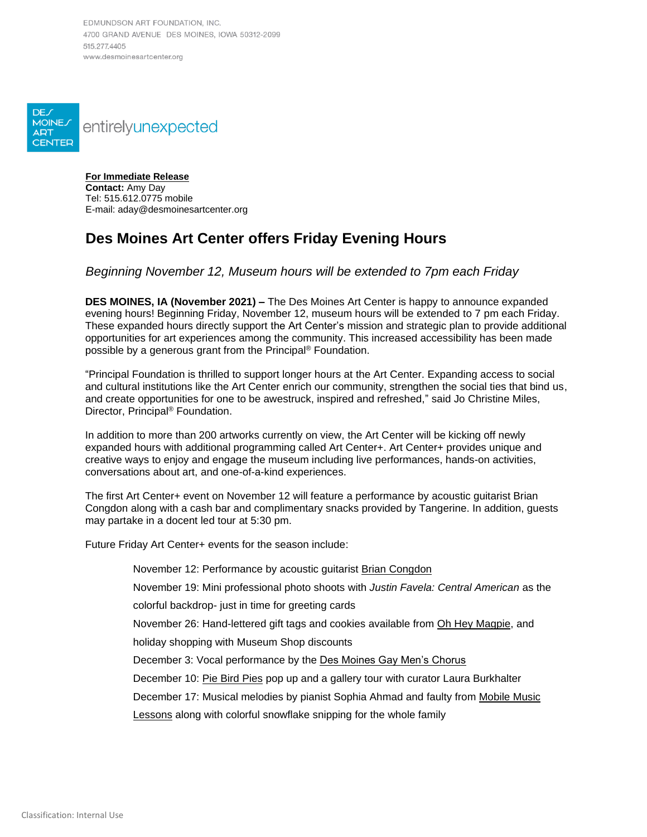EDMUNDSON ART FOUNDATION, INC. 4700 GRAND AVENUE DES MOINES, IOWA 50312-2099 515 277 4405 www.desmoinesartcenter.org



**For Immediate Release Contact:** Amy Day Tel: 515.612.0775 mobile E-mail: aday@desmoinesartcenter.org

## **Des Moines Art Center offers Friday Evening Hours**

## *Beginning November 12, Museum hours will be extended to 7pm each Friday*

**DES MOINES, IA (November 2021) –** The Des Moines Art Center is happy to announce expanded evening hours! Beginning Friday, November 12, museum hours will be extended to 7 pm each Friday. These expanded hours directly support the Art Center's mission and strategic plan to provide additional opportunities for art experiences among the community. This increased accessibility has been made possible by a generous grant from the Principal® Foundation.

"Principal Foundation is thrilled to support longer hours at the Art Center. Expanding access to social and cultural institutions like the Art Center enrich our community, strengthen the social ties that bind us, and create opportunities for one to be awestruck, inspired and refreshed," said Jo Christine Miles, Director, Principal® Foundation.

In addition to more than 200 artworks currently on view, the Art Center will be kicking off newly expanded hours with additional programming called Art Center+. Art Center+ provides unique and creative ways to enjoy and engage the museum including live performances, hands-on activities, conversations about art, and one-of-a-kind experiences.

The first Art Center+ event on November 12 will feature a performance by acoustic guitarist Brian Congdon along with a cash bar and complimentary snacks provided by Tangerine. In addition, guests may partake in a docent led tour at 5:30 pm.

Future Friday Art Center+ events for the season include:

November 12: Performance by acoustic guitarist [Brian Congdon](http://briancongdon.com/)

November 19: Mini professional photo shoots with *Justin Favela: Central American* as the

colorful backdrop- just in time for greeting cards

November 26: Hand-lettered gift tags and cookies available from [Oh Hey Magpie,](https://ohheymagpie.com/) and holiday shopping with Museum Shop discounts

December 3: Vocal performance by the [Des Moines Gay Men's Chorus](https://www.dmgmc.org/)

December 10: [Pie Bird Pies](https://www.facebook.com/piebirdpies/) pop up and a gallery tour with curator Laura Burkhalter

December 17: Musical melodies by pianist Sophia Ahmad and faulty from [Mobile Music](https://www.mobilemusiclessons.com/) 

[Lessons](https://www.mobilemusiclessons.com/) along with colorful snowflake snipping for the whole family